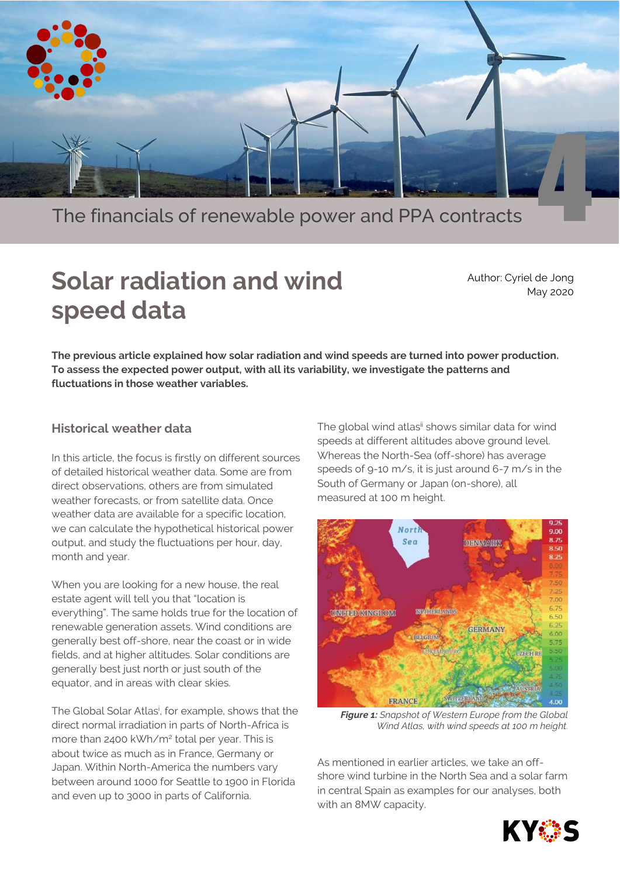

The financials of renewable power and PPA contracts [4](https://www.kyos.com/wp-content/uploads/2020/04/cape-ortegal-117601.jpg)

# **Solar radiation and wind speed data**

Author: Cyriel de Jong May 2020

**The previous article explained how solar radiation and wind speeds are turned into power production. To assess the expected power output, with all its variability, we investigate the patterns and fluctuations in those weather variables.** 

## **Historical weather data**

In this article, the focus is firstly on different sources of detailed historical weather data. Some are from direct observations, others are from simulated weather forecasts, or from satellite data. Once weather data are available for a specific location, we can calculate the hypothetical historical power output, and study the fluctuations per hour, day, month and year.

When you are looking for a new house, the real estate agent will tell you that "location is everything". The same holds true for the location of renewable generation assets. Wind conditions are generally best off-shore, near the coast or in wide fields, and at higher altitudes. Solar conditions are generally best just north or just south of the equator, and in areas with clear skies.

The Global Solar Atlas<sup>i</sup>, for example, shows that the direct normal irradiation in parts of North-Africa is more than 2400 kWh/m<sup>2</sup> total per year. This is about twice as much as in France, Germany or Japan. Within North-America the numbers vary between around 1000 for Seattle to 1900 in Florida and even up to 3000 in parts of California.

The global wind atlas<sup>ii</sup> shows similar data for wind speeds at different altitudes above ground level. Whereas the North-Sea (off-shore) has average speeds of 9-10 m/s, it is just around 6-7 m/s in the South of Germany or Japan (on-shore), all measured at 100 m height.



*Figure 1: Snapshot of Western Europe from the Global Wind Atlas, with wind speeds at 100 m height.*

As mentioned in earlier articles, we take an offshore wind turbine in the North Sea and a solar farm in central Spain as examples for our analyses, both with an 8MW capacity.

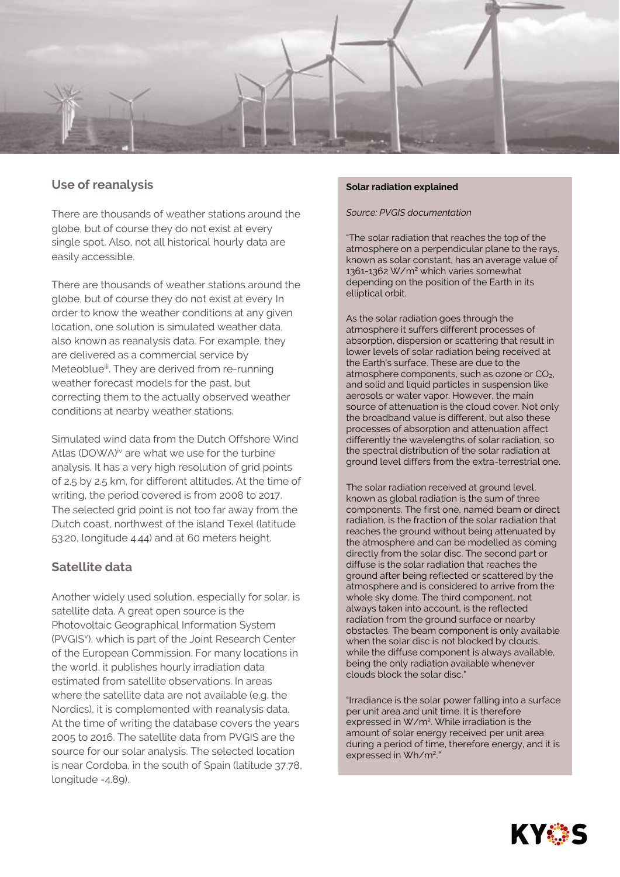

## **Use of reanalysis**

There are thousands of weather stations around the globe, but of course they do not exist at every single spot. Also, not all historical hourly data are easily accessible.

There are thousands of weather stations around the globe, but of course they do not exist at every In order to know the weather conditions at any given location, one solution is simulated weather data, also known as reanalysis data. For example, they are delivered as a commercial service by Meteoblue<sup>iii</sup>. They are derived from re-running weather forecast models for the past, but correcting them to the actually observed weather conditions at nearby weather stations.

Simulated wind data from the Dutch Offshore Wind Atlas (DOWA)<sup>iv</sup> are what we use for the turbine analysis. It has a very high resolution of grid points of 2.5 by 2.5 km, for different altitudes. At the time of writing, the period covered is from 2008 to 2017. The selected grid point is not too far away from the Dutch coast, northwest of the island Texel (latitude 53.20, longitude 4.44) and at 60 meters height.

## **Satellite data**

Another widely used solution, especially for solar, is satellite data. A great open source is the Photovoltaic Geographical Information System (PVGIS<sup>v</sup>), which is part of the Joint Research Center of the European Commission. For many locations in the world, it publishes hourly irradiation data estimated from satellite observations. In areas where the satellite data are not available (e.g. the Nordics), it is complemented with reanalysis data. At the time of writing the database covers the years 2005 to 2016. The satellite data from PVGIS are the source for our solar analysis. The selected location is near Cordoba, in the south of Spain (latitude 37.78, longitude -4.89).

#### **Solar radiation explained**

#### *Source: PVGIS documentation*

"The solar radiation that reaches the top of the atmosphere on a perpendicular plane to the rays, known as solar constant, has an average value of 1361-1362 W/m<sup>2</sup> which varies somewhat depending on the position of the Earth in its elliptical orbit.

As the solar radiation goes through the atmosphere it suffers different processes of absorption, dispersion or scattering that result in lower levels of solar radiation being received at the Earth's surface. These are due to the atmosphere components, such as ozone or CO2, and solid and liquid particles in suspension like aerosols or water vapor. However, the main source of attenuation is the cloud cover. Not only the broadband value is different, but also these processes of absorption and attenuation affect differently the wavelengths of solar radiation, so the spectral distribution of the solar radiation at ground level differs from the extra-terrestrial one.

The solar radiation received at ground level, known as global radiation is the sum of three components. The first one, named beam or direct radiation, is the fraction of the solar radiation that reaches the ground without being attenuated by the atmosphere and can be modelled as coming directly from the solar disc. The second part or diffuse is the solar radiation that reaches the ground after being reflected or scattered by the atmosphere and is considered to arrive from the whole sky dome. The third component, not always taken into account, is the reflected radiation from the ground surface or nearby obstacles. The beam component is only available when the solar disc is not blocked by clouds, while the diffuse component is always available, being the only radiation available whenever clouds block the solar disc."

"Irradiance is the solar power falling into a surface per unit area and unit time. It is therefore expressed in W/m<sup>2</sup> . While irradiation is the amount of solar energy received per unit area during a period of time, therefore energy, and it is expressed in Wh/m<sup>2</sup>."

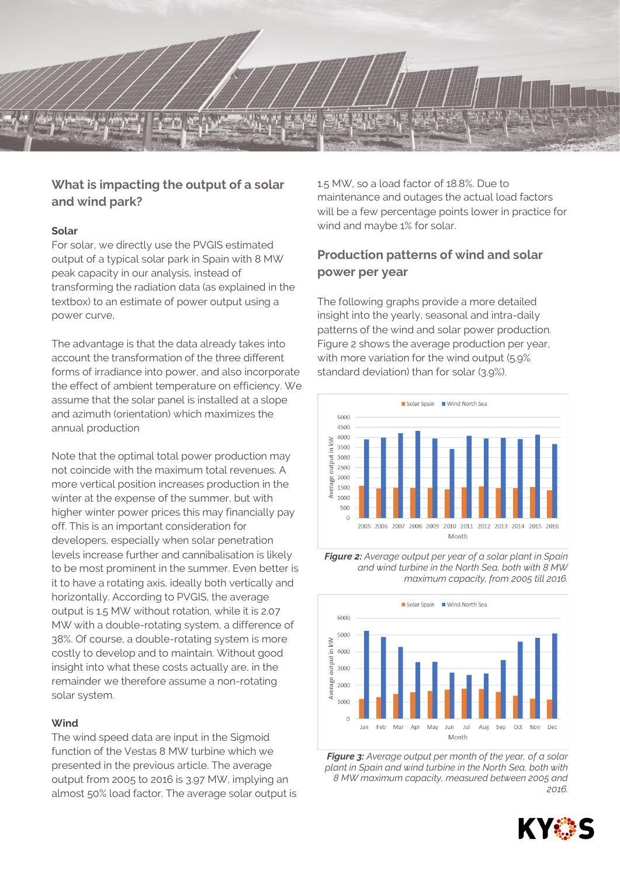## **What is impacting the output of a solar and wind park?**

#### **Solar**

For solar, we directly use the PVGIS estimated output of a typical solar park in Spain with 8 MW peak capacity in our analysis, instead of transforming the radiation data (as explained in the textbox) to an estimate of power output using a power curve,

The advantage is that the data already takes into account the transformation of the three different forms of irradiance into power, and also incorporate the effect of ambient temperature on efficiency. We assume that the solar panel is installed at a slope and azimuth (orientation) which maximizes the annual production

Note that the optimal total power production may not coincide with the maximum total revenues. A more vertical position increases production in the winter at the expense of the summer, but with higher winter power prices this may financially pay off. This is an important consideration for developers, especially when solar penetration levels increase further and cannibalisation is likely to be most prominent in the summer. Even better is it to have a rotating axis, ideally both vertically and horizontally. According to PVGIS, the average output is 1.5 MW without rotation, while it is 2.07 MW with a double-rotating system, a difference of 38%. Of course, a double-rotating system is more costly to develop and to maintain. Without good insight into what these costs actually are, in the remainder we therefore assume a non-rotating solar system.

#### **Wind**

The wind speed data are input in the Sigmoid function of the Vestas 8 MW turbine which we presented in the previous article. The average output from 2005 to 2016 is 3.97 MW, implying an almost 50% load factor. The average solar output is 1.5 MW, so a load factor of 18.8%. Due to maintenance and outages the actual load factors will be a few percentage points lower in practice for wind and maybe 1% for solar.

## **Production patterns of wind and solar power per year**

The following graphs provide a more detailed insight into the yearly, seasonal and intra-daily patterns of the wind and solar power production. Figure 2 shows the average production per year, with more variation for the wind output (5.9% standard deviation) than for solar (3.9%).







*Figure 3: Average output per month of the year, of a solar plant in Spain and wind turbine in the North Sea, both with 8 MW maximum capacity, measured between 2005 and 2016.*

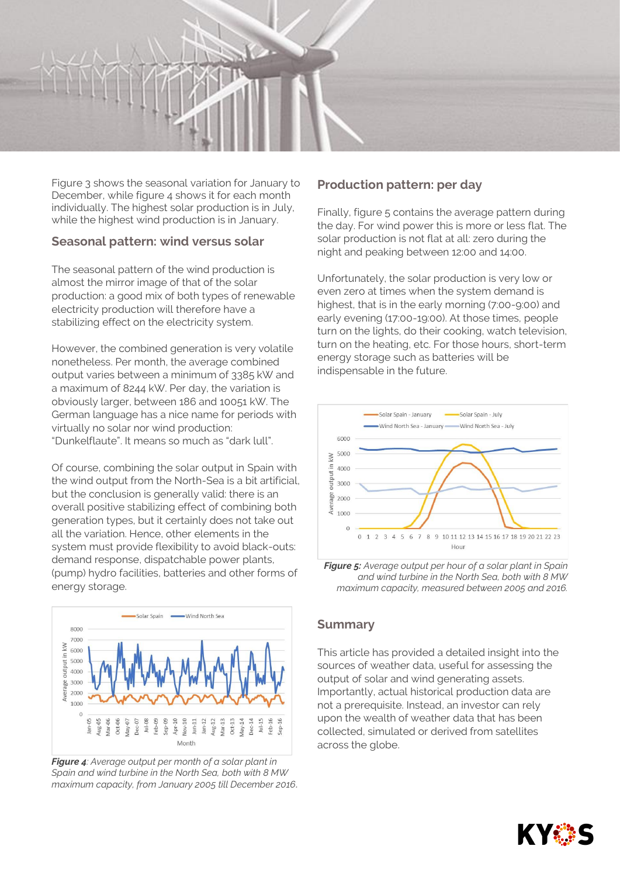

Figure 3 shows the seasonal variation for January to December, while figure 4 shows it for each month individually. The highest solar production is in July, while the highest wind production is in January.

### **Seasonal pattern: wind versus solar**

The seasonal pattern of the wind production is almost the mirror image of that of the solar production: a good mix of both types of renewable electricity production will therefore have a stabilizing effect on the electricity system.

However, the combined generation is very volatile nonetheless. Per month, the average combined output varies between a minimum of 3385 kW and a maximum of 8244 kW. Per day, the variation is obviously larger, between 186 and 10051 kW. The German language has a nice name for periods with virtually no solar nor wind production: "Dunkelflaute". It means so much as "dark lull".

Of course, combining the solar output in Spain with the wind output from the North-Sea is a bit artificial, but the conclusion is generally valid: there is an overall positive stabilizing effect of combining both generation types, but it certainly does not take out all the variation. Hence, other elements in the system must provide flexibility to avoid black-outs: demand response, dispatchable power plants, (pump) hydro facilities, batteries and other forms of energy storage.



*Figure 4: Average output per month of a solar plant in Spain and wind turbine in the North Sea, both with 8 MW maximum capacity, from January 2005 till December 2016.*

## **Production pattern: per day**

Finally, figure 5 contains the average pattern during the day. For wind power this is more or less flat. The solar production is not flat at all: zero during the night and peaking between 12:00 and 14:00.

Unfortunately, the solar production is very low or even zero at times when the system demand is highest, that is in the early morning (7:00-9:00) and early evening (17:00-19:00). At those times, people turn on the lights, do their cooking, watch television, turn on the heating, etc. For those hours, short-term energy storage such as batteries will be indispensable in the future.



*Figure 5: Average output per hour of a solar plant in Spain and wind turbine in the North Sea, both with 8 MW maximum capacity, measured between 2005 and 2016.*

## **Summary**

This article has provided a detailed insight into the sources of weather data, useful for assessing the output of solar and wind generating assets. Importantly, actual historical production data are not a prerequisite. Instead, an investor can rely upon the wealth of weather data that has been collected, simulated or derived from satellites across the globe.